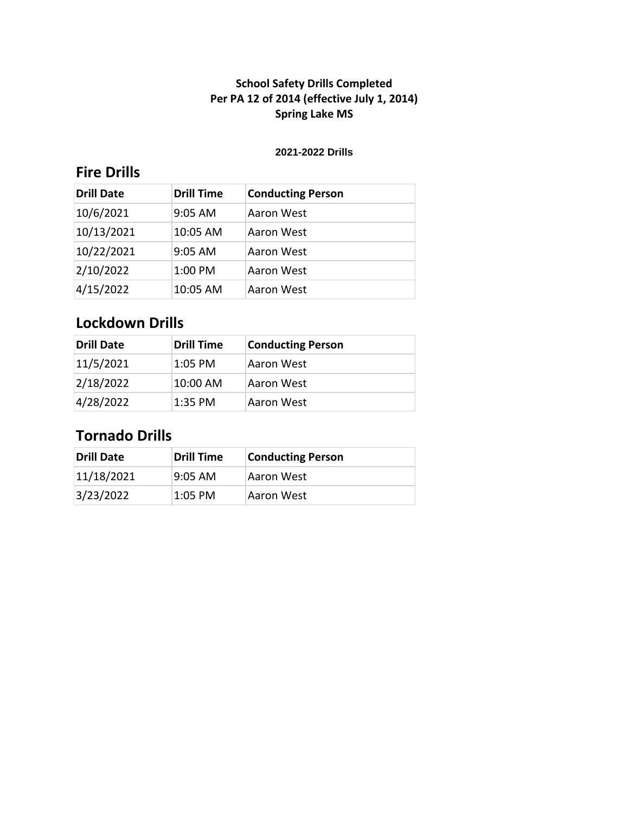#### **2021-2022 Drills**

## **Fire Drills**

| <b>Drill Date</b> | <b>Drill Time</b> | <b>Conducting Person</b> |
|-------------------|-------------------|--------------------------|
| 10/6/2021         | $9:05$ AM         | Aaron West               |
| 10/13/2021        | 10:05 AM          | Aaron West               |
| 10/22/2021        | $9:05$ AM         | Aaron West               |
| 2/10/2022         | 1:00 PM           | Aaron West               |
| 4/15/2022         | 10:05 AM          | Aaron West               |

## **Lockdown Drills**

| <b>Drill Date</b> | <b>Drill Time</b> | <b>Conducting Person</b> |
|-------------------|-------------------|--------------------------|
| 11/5/2021         | $1:05$ PM         | Aaron West               |
| 2/18/2022         | 10:00 AM          | Aaron West               |
| 4/28/2022         | $1:35$ PM         | Aaron West               |

| Drill Date | Drill Time          | <b>Conducting Person</b> |
|------------|---------------------|--------------------------|
| 11/18/2021 | $9:05 \, \text{AM}$ | Aaron West               |
| 3/23/2022  | 1:05 PM             | Aaron West               |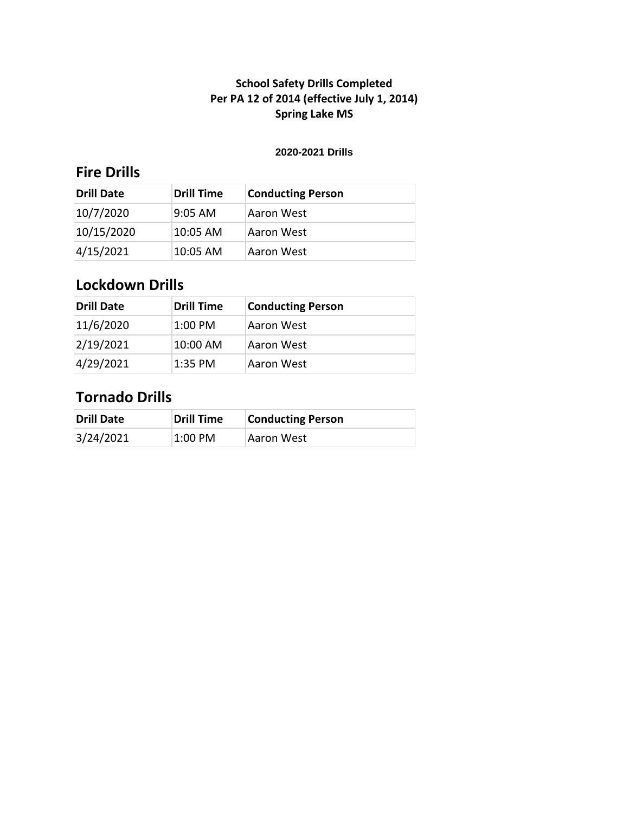#### **2020-2021 Drills**

## **Fire Drills**

| Drill Date | <b>Drill Time</b> | <b>Conducting Person</b> |
|------------|-------------------|--------------------------|
| 10/7/2020  | l9:05 AM          | Aaron West               |
| 10/15/2020 | 10:05 AM          | Aaron West               |
| 4/15/2021  | 10:05 AM          | Aaron West               |

# **Lockdown Drills**

| <b>Drill Date</b> | Drill Time | <b>Conducting Person</b> |
|-------------------|------------|--------------------------|
| 11/6/2020         | 1:00 PM    | Aaron West               |
| 2/19/2021         | 10:00 AM   | Aaron West               |
| 4/29/2021         | 1:35 PM    | Aaron West               |

| <b>Drill Date</b> | Drill Time | <b>Conducting Person</b> |
|-------------------|------------|--------------------------|
| 3/24/2021         | 1:00 PM    | Aaron West               |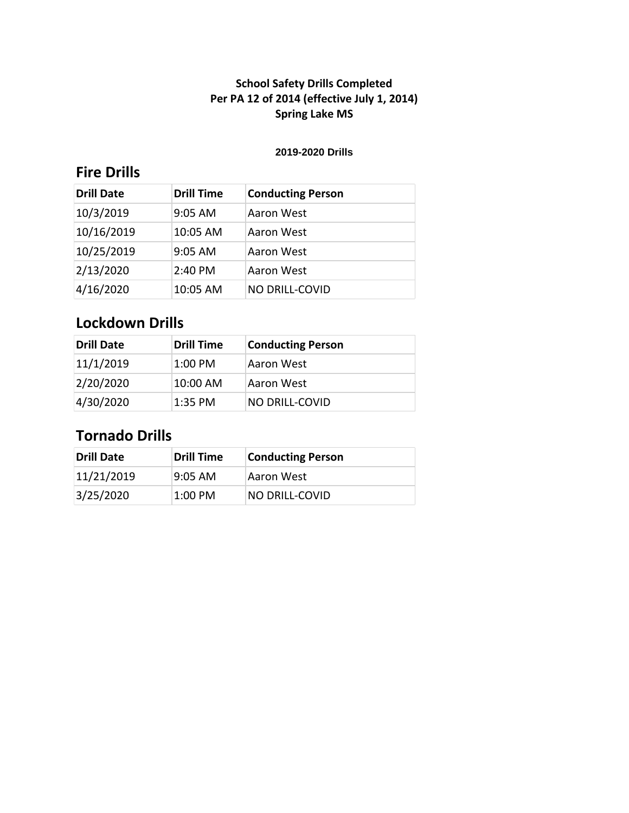#### **2019-2020 Drills**

## **Fire Drills**

| <b>Drill Date</b> | <b>Drill Time</b> | <b>Conducting Person</b> |
|-------------------|-------------------|--------------------------|
| 10/3/2019         | 9:05 AM           | Aaron West               |
| 10/16/2019        | 10:05 AM          | Aaron West               |
| 10/25/2019        | 9:05 AM           | Aaron West               |
| 2/13/2020         | 2:40 PM           | Aaron West               |
| 4/16/2020         | 10:05 AM          | NO DRILL-COVID           |

## **Lockdown Drills**

| <b>Drill Date</b> | <b>Drill Time</b> | <b>Conducting Person</b> |
|-------------------|-------------------|--------------------------|
| 11/1/2019         | $1:00$ PM         | Aaron West               |
| 2/20/2020         | 10:00 AM          | Aaron West               |
| 4/30/2020         | $1:35$ PM         | <b>NO DRILL-COVID</b>    |

| <b>Drill Date</b> | <b>Drill Time</b>   | <b>Conducting Person</b> |
|-------------------|---------------------|--------------------------|
| 11/21/2019        | $9:05 \, \text{AM}$ | Aaron West               |
| 3/25/2020         | $1:00$ PM           | NO DRILL-COVID           |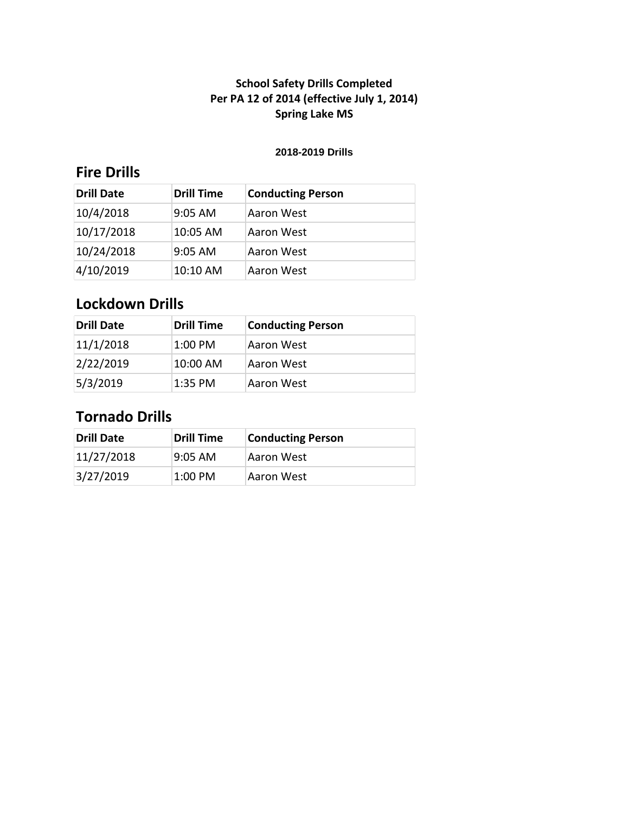#### **2018-2019 Drills**

## **Fire Drills**

| <b>Drill Date</b> | <b>Drill Time</b> | <b>Conducting Person</b> |
|-------------------|-------------------|--------------------------|
| 10/4/2018         | $9:05$ AM         | Aaron West               |
| 10/17/2018        | $10:05$ AM        | Aaron West               |
| 10/24/2018        | $9:05$ AM         | Aaron West               |
| 4/10/2019         | 10:10 AM          | Aaron West               |

# **Lockdown Drills**

| <b>Drill Date</b> | <b>Drill Time</b> | <b>Conducting Person</b> |
|-------------------|-------------------|--------------------------|
| 11/1/2018         | 1:00 PM           | Aaron West               |
| 2/22/2019         | 10:00 AM          | Aaron West               |
| 5/3/2019          | 1:35 PM           | Aaron West               |

| Drill Date | <b>Drill Time</b> | <b>Conducting Person</b> |
|------------|-------------------|--------------------------|
| 11/27/2018 | l9:05 AM          | Aaron West               |
| 3/27/2019  | $1:00$ PM         | Aaron West               |